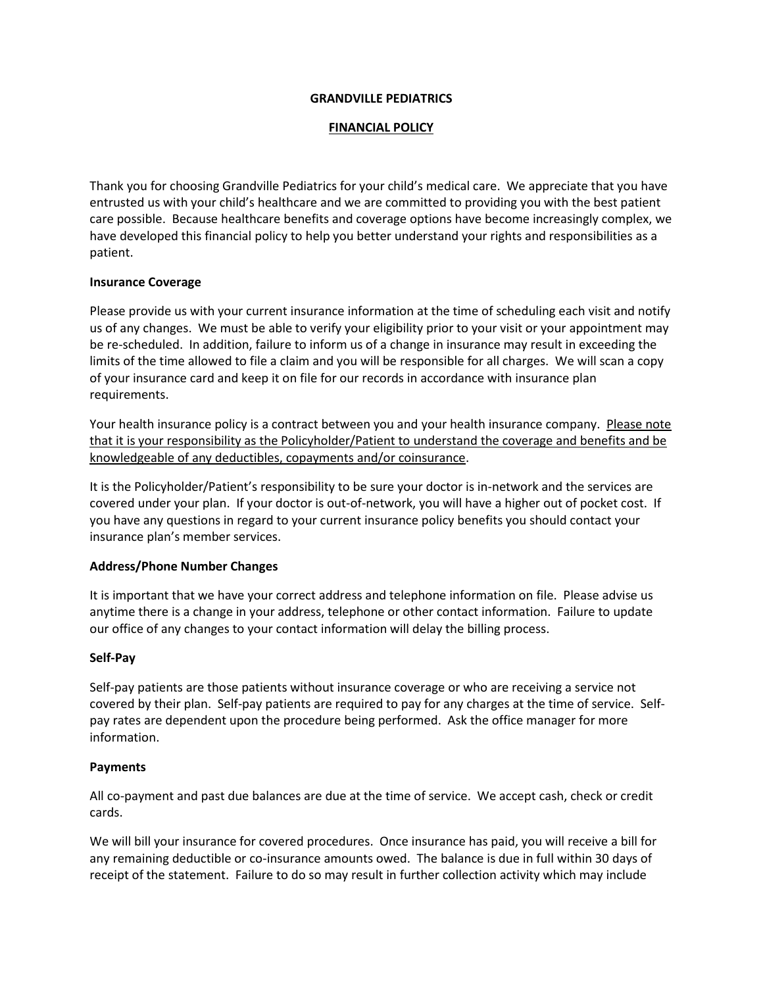#### **GRANDVILLE PEDIATRICS**

### **FINANCIAL POLICY**

Thank you for choosing Grandville Pediatrics for your child's medical care. We appreciate that you have entrusted us with your child's healthcare and we are committed to providing you with the best patient care possible. Because healthcare benefits and coverage options have become increasingly complex, we have developed this financial policy to help you better understand your rights and responsibilities as a patient.

### **Insurance Coverage**

Please provide us with your current insurance information at the time of scheduling each visit and notify us of any changes. We must be able to verify your eligibility prior to your visit or your appointment may be re-scheduled. In addition, failure to inform us of a change in insurance may result in exceeding the limits of the time allowed to file a claim and you will be responsible for all charges. We will scan a copy of your insurance card and keep it on file for our records in accordance with insurance plan requirements.

Your health insurance policy is a contract between you and your health insurance company. Please note that it is your responsibility as the Policyholder/Patient to understand the coverage and benefits and be knowledgeable of any deductibles, copayments and/or coinsurance.

It is the Policyholder/Patient's responsibility to be sure your doctor is in-network and the services are covered under your plan. If your doctor is out-of-network, you will have a higher out of pocket cost. If you have any questions in regard to your current insurance policy benefits you should contact your insurance plan's member services.

# **Address/Phone Number Changes**

It is important that we have your correct address and telephone information on file. Please advise us anytime there is a change in your address, telephone or other contact information. Failure to update our office of any changes to your contact information will delay the billing process.

# **Self-Pay**

Self-pay patients are those patients without insurance coverage or who are receiving a service not covered by their plan. Self-pay patients are required to pay for any charges at the time of service. Selfpay rates are dependent upon the procedure being performed. Ask the office manager for more information.

### **Payments**

All co-payment and past due balances are due at the time of service. We accept cash, check or credit cards.

We will bill your insurance for covered procedures. Once insurance has paid, you will receive a bill for any remaining deductible or co-insurance amounts owed. The balance is due in full within 30 days of receipt of the statement. Failure to do so may result in further collection activity which may include